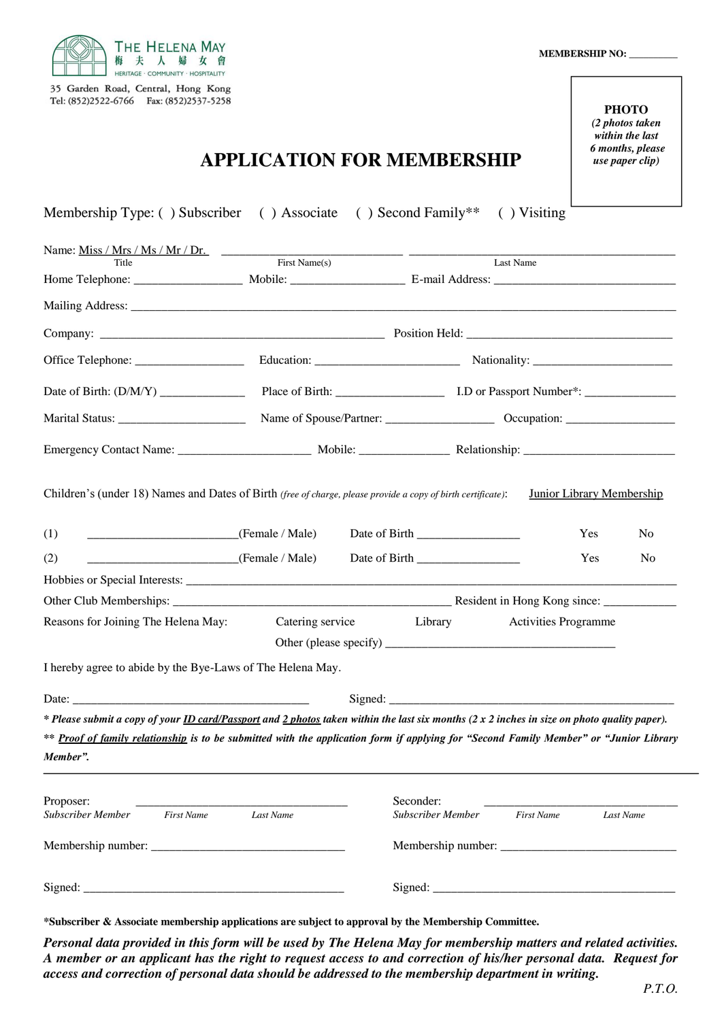

35 Garden Road, Central, Hong Kong Tel: (852)2522-6766 Fax: (852)2537-5258

#### *within the last* **PHOTO** *(2 photos taken 6 months, please use paper clip)*

# **APPLICATION FOR MEMBERSHIP**

| Membership Type: () Subscriber () Associate () Second Family**                                                                                      |           |                                       | $( )$ Visiting              |                                  |
|-----------------------------------------------------------------------------------------------------------------------------------------------------|-----------|---------------------------------------|-----------------------------|----------------------------------|
| Name: $\underline{Miss / Mrs / Ms / Mr / Dr.}$ First Name(s)                                                                                        |           |                                       |                             |                                  |
|                                                                                                                                                     |           |                                       | Last Name                   |                                  |
|                                                                                                                                                     |           |                                       |                             |                                  |
|                                                                                                                                                     |           |                                       |                             |                                  |
|                                                                                                                                                     |           |                                       |                             |                                  |
|                                                                                                                                                     |           |                                       |                             |                                  |
|                                                                                                                                                     |           |                                       |                             |                                  |
|                                                                                                                                                     |           |                                       |                             |                                  |
|                                                                                                                                                     |           |                                       |                             |                                  |
| Children's (under 18) Names and Dates of Birth (free of charge, please provide a copy of birth certificate):                                        |           |                                       |                             | <b>Junior Library Membership</b> |
| (Female / Male)<br>(1)                                                                                                                              |           |                                       |                             | Yes<br>N <sub>0</sub>            |
| $\frac{1}{2}$ (Female / Male)<br>(2)                                                                                                                |           |                                       |                             | Yes<br>N <sub>0</sub>            |
|                                                                                                                                                     |           |                                       |                             |                                  |
|                                                                                                                                                     |           |                                       |                             |                                  |
| Reasons for Joining The Helena May:                                                                                                                 |           | Catering service Library              | <b>Activities Programme</b> |                                  |
| I hereby agree to abide by the Bye-Laws of The Helena May.                                                                                          |           |                                       |                             |                                  |
|                                                                                                                                                     |           |                                       |                             |                                  |
| * Please submit a copy of your <b>ID</b> card/Passport and 2 photos taken within the last six months (2 x 2 inches in size on photo quality paper). |           |                                       |                             |                                  |
| ** Proof of family relationship is to be submitted with the application form if applying for "Second Family Member" or "Junior Library<br>Member".  |           |                                       |                             |                                  |
| Proposer:<br><b>Subscriber Member</b> First Name                                                                                                    | Last Name | Seconder:<br><b>Subscriber Member</b> | <b>First Name</b>           | Last Name                        |
|                                                                                                                                                     |           |                                       |                             |                                  |
|                                                                                                                                                     |           |                                       |                             |                                  |

**\*Subscriber & Associate membership applications are subject to approval by the Membership Committee.**

*Personal data provided in this form will be used by The Helena May for membership matters and related activities. A member or an applicant has the right to request access to and correction of his/her personal data. Request for access and correction of personal data should be addressed to the membership department in writing.*